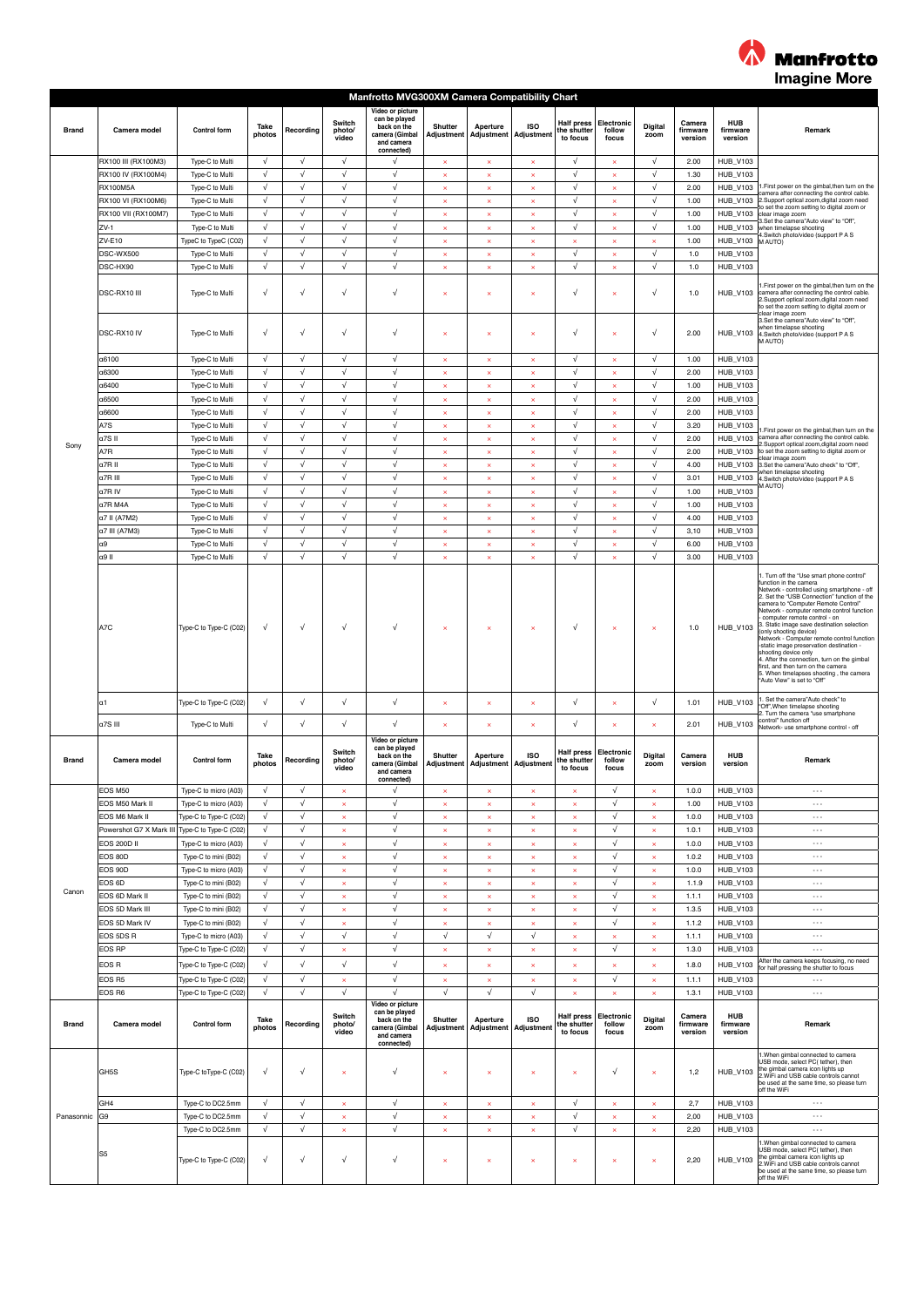

|              |                         | Manfrotto MVG300XM Camera Compatibility Chart |                |            |                           |                                                                                                |                              |                                                  |                                |                                              |                               |                           |                               |                            |                                                                                                                                                                                                                                                                                                                                                                                                                                                                                                                                                                          |  |
|--------------|-------------------------|-----------------------------------------------|----------------|------------|---------------------------|------------------------------------------------------------------------------------------------|------------------------------|--------------------------------------------------|--------------------------------|----------------------------------------------|-------------------------------|---------------------------|-------------------------------|----------------------------|--------------------------------------------------------------------------------------------------------------------------------------------------------------------------------------------------------------------------------------------------------------------------------------------------------------------------------------------------------------------------------------------------------------------------------------------------------------------------------------------------------------------------------------------------------------------------|--|
| <b>Brand</b> | Camera model            | <b>Control form</b>                           | Take<br>photos | Recording  | Switch<br>photo/<br>video | Video or picture<br>can be played<br>back on the<br>camera (Gimbal<br>and camera<br>connected) | Shutter                      | Aperture<br>Adjustment Adjustment Adjustment     | <b>ISO</b>                     | <b>Half press</b><br>the shutter<br>to focus | Electronic<br>follow<br>focus | Digital<br>zoom           | Camera<br>firmware<br>version | HUB<br>firmware<br>version | Remark                                                                                                                                                                                                                                                                                                                                                                                                                                                                                                                                                                   |  |
|              | RX100 III (RX100M3)     | Type-C to Multi                               | $\sqrt{ }$     | $\sqrt{}$  | $\sqrt{}$                 | √                                                                                              | $\pmb{\times}$               | $\pmb{\times}$                                   | $\pmb{\times}$                 | $\sqrt{}$                                    | $\pmb{\times}$                | $\sqrt{}$                 | 2.00                          | <b>HUB_V103</b>            |                                                                                                                                                                                                                                                                                                                                                                                                                                                                                                                                                                          |  |
|              | RX100 IV (RX100M4)      | Type-C to Multi                               | $\sqrt{ }$     | $\sqrt{ }$ | $\sqrt{}$                 | $\sqrt{ }$                                                                                     | $\boldsymbol{\mathsf{x}}$    | $\boldsymbol{\mathsf{x}}$                        | $\boldsymbol{\times}$          | $\sqrt{ }$                                   | $\times$                      | $\sqrt{ }$                | 1.30                          | <b>HUB_V103</b>            |                                                                                                                                                                                                                                                                                                                                                                                                                                                                                                                                                                          |  |
|              | <b>RX100M5A</b>         | Type-C to Multi                               | $\sqrt{ }$     | $\sqrt{ }$ | $\sqrt{ }$                | $\sqrt{ }$                                                                                     | $\boldsymbol{\mathsf{x}}$    | $\boldsymbol{\mathsf{x}}$                        | ×                              | $\sqrt{ }$                                   | $\boldsymbol{\times}$         | $\sqrt{ }$                | 2.00                          | <b>HUB_V103</b>            | I.First power on the gimbal, then turn on the<br>camera after connecting the control cable.                                                                                                                                                                                                                                                                                                                                                                                                                                                                              |  |
|              | RX100 VI (RX100M6)      | Type-C to Multi                               | $\sqrt{ }$     | $\sqrt{}$  | $\sqrt{}$                 | $\sqrt{ }$                                                                                     | $\boldsymbol{\times}$        | $\pmb{\times}$                                   | ×                              | $\sqrt{ }$                                   | $\boldsymbol{\times}$         | $\sqrt{ }$                | 1.00                          | <b>HUB V103</b>            | 2.Support optical zoom, digital zoom need                                                                                                                                                                                                                                                                                                                                                                                                                                                                                                                                |  |
|              | RX100 VII (RX100M7)     | Type-C to Multi                               | $\sqrt{ }$     | $\sqrt{ }$ | $\sqrt{ }$                | $\sqrt{ }$                                                                                     | $\propto$                    | $\mathbf{x}$                                     | ×                              | $\sqrt{ }$                                   | $\propto$                     | $\sqrt{ }$                | 1.00                          | <b>HUB_V103</b>            | to set the zoom setting to digital zoom or<br>clear image zoom                                                                                                                                                                                                                                                                                                                                                                                                                                                                                                           |  |
|              | ZV-1                    | Type-C to Multi                               | $\sqrt{ }$     | $\sqrt{}$  | $\sqrt{}$                 | $\sqrt{ }$                                                                                     | $\boldsymbol{\times}$        | $\boldsymbol{\times}$                            | $\boldsymbol{\times}$          | $\sqrt{ }$                                   | $\pmb{\times}$                | $\sqrt{ }$                | 1.00                          | <b>HUB_V103</b>            | 3.Set the camera"Auto view" to "Off".<br>when timelapse shooting                                                                                                                                                                                                                                                                                                                                                                                                                                                                                                         |  |
|              | ZV-E10                  | TypeC to TypeC (C02)                          | $\sqrt{ }$     | $\sqrt{}$  | $\sqrt{ }$                | $\sqrt{ }$                                                                                     | $\boldsymbol{\times}$        | $\pmb{\times}$                                   | ×                              | $\boldsymbol{\times}$                        | $\boldsymbol{\times}$         | $\boldsymbol{\mathsf{x}}$ | 1.00                          | HUB_V103 MAUTO)            | 1.Switch photo/video (support P A S                                                                                                                                                                                                                                                                                                                                                                                                                                                                                                                                      |  |
|              | DSC-WX500               | Type-C to Multi                               | $\sqrt{ }$     | $\sqrt{ }$ | $\sqrt{ }$                | $\sqrt{ }$                                                                                     | $\times$                     | $\boldsymbol{\mathsf{x}}$                        | $\times$                       | $\sqrt{ }$                                   | $\pmb{\times}$                | $\sqrt{ }$                | $1.0$                         | <b>HUB_V103</b>            |                                                                                                                                                                                                                                                                                                                                                                                                                                                                                                                                                                          |  |
|              | DSC-HX90                | Type-C to Multi                               | $\sqrt{ }$     | $\sqrt{ }$ | $\sqrt{ }$                | $\sqrt{ }$                                                                                     | $\boldsymbol{\times}$        | $\boldsymbol{\mathsf{x}}$                        | ×                              | $\sqrt{ }$                                   | $\boldsymbol{\times}$         | $\sqrt{ }$                | $1.0$                         | <b>HUB V103</b>            |                                                                                                                                                                                                                                                                                                                                                                                                                                                                                                                                                                          |  |
|              | DSC-RX10 III            | Type-C to Multi                               | $\sqrt{ }$     | $\sqrt{}$  | $\sqrt{ }$                | $\sqrt{ }$                                                                                     | $\boldsymbol{\times}$        | $\boldsymbol{\times}$                            | ×                              | $\sqrt{}$                                    | $\boldsymbol{\times}$         | $\sqrt{ }$                | $1.0$                         | <b>HUB_V103</b>            | 1. First power on the gimbal, then turn on the<br>camera after connecting the control cable.<br>2.Support optical zoom, digital zoom need<br>to set the zoom setting to digital zoom or                                                                                                                                                                                                                                                                                                                                                                                  |  |
|              | DSC-RX10 IV             | Type-C to Multi                               | $\sqrt{ }$     | $\sqrt{}$  | $\sqrt{ }$                | $\sqrt{ }$                                                                                     | $\boldsymbol{\times}$        | $\boldsymbol{\times}$                            | ×                              | $\sqrt{}$                                    | $\boldsymbol{\times}$         | $\sqrt{}$                 | 2.00                          | <b>HUB_V103</b>            | clear image zoom<br>3.Set the camera"Auto view" to "Off",<br>when timelapse shooting<br>4.Switch photo/video (support P A S<br>M AUTO)                                                                                                                                                                                                                                                                                                                                                                                                                                   |  |
|              | α6100                   | Type-C to Multi                               | $\sqrt{ }$     | $\sqrt{}$  | $\sqrt{}$                 | $\sqrt{}$                                                                                      | $\boldsymbol{\times}$        | $\pmb{\times}$                                   | ×                              | $\sqrt{ }$                                   | $\boldsymbol{\times}$         | $\sqrt{ }$                | 1.00                          | <b>HUB_V103</b>            |                                                                                                                                                                                                                                                                                                                                                                                                                                                                                                                                                                          |  |
|              | a6300                   | Type-C to Multi                               | $\sqrt{ }$     | $\sqrt{ }$ | $\sqrt{ }$                | $\sqrt{ }$                                                                                     | $\mathbf{x}$                 | $\mathbf{x}$                                     | ×                              | $\sqrt{ }$                                   | $\boldsymbol{\mathsf{x}}$     | $\sqrt{ }$                | 2.00                          | <b>HUB_V103</b>            |                                                                                                                                                                                                                                                                                                                                                                                                                                                                                                                                                                          |  |
|              | a6400                   | Type-C to Multi                               | $\sqrt{ }$     | $\sqrt{}$  | $\sqrt{}$                 | $\sqrt{ }$                                                                                     | $\bar{\mathbf{x}}$           | $\boldsymbol{\times}$                            | $\times$                       | $\sqrt{ }$                                   | $\bar{\mathbf{x}}$            | $\sqrt{ }$                | 1.00                          | <b>HUB_V103</b>            |                                                                                                                                                                                                                                                                                                                                                                                                                                                                                                                                                                          |  |
|              | α6500                   | Type-C to Multi                               | $\sqrt{ }$     | $\sqrt{}$  | $\sqrt{ }$                | $\sqrt{ }$                                                                                     | $\boldsymbol{\times}$        | $\boldsymbol{\mathsf{x}}$                        | ×                              | $\sqrt{}$                                    | $\boldsymbol{\times}$         | $\sqrt{ }$                | 2.00                          | <b>HUB_V103</b>            |                                                                                                                                                                                                                                                                                                                                                                                                                                                                                                                                                                          |  |
|              |                         |                                               | $\sqrt{ }$     | $\sqrt{ }$ | $\sqrt{ }$                | $\sqrt{ }$                                                                                     |                              |                                                  |                                | $\sqrt{ }$                                   |                               | $\sqrt{}$                 |                               |                            |                                                                                                                                                                                                                                                                                                                                                                                                                                                                                                                                                                          |  |
|              | a6600                   | Type-C to Multi                               |                |            |                           |                                                                                                | $\boldsymbol{\times}$        | $\boldsymbol{\mathsf{x}}$                        | $\times$                       |                                              | $\pmb{\times}$                |                           | 2.00                          | <b>HUB_V103</b>            |                                                                                                                                                                                                                                                                                                                                                                                                                                                                                                                                                                          |  |
|              | A7S                     | Type-C to Multi                               | $\sqrt{ }$     | $\sqrt{ }$ | $\sqrt{ }$                | $\sqrt{ }$                                                                                     | $\boldsymbol{\mathsf{x}}$    | $\boldsymbol{\mathsf{x}}$                        | $\boldsymbol{\times}$          | $\sqrt{ }$                                   | $\times$                      | $\sqrt{ }$                | 3.20                          | <b>HUB V103</b>            | First power on the gimbal then turn on the                                                                                                                                                                                                                                                                                                                                                                                                                                                                                                                               |  |
| Sony         | a7S II                  | Type-C to Multi                               | $\sqrt{ }$     | $\sqrt{}$  | $\sqrt{}$                 | $\sqrt{ }$                                                                                     | $\boldsymbol{\mathsf{x}}$    | $\pmb{\times}$                                   | ×                              | $\sqrt{ }$                                   | $\boldsymbol{\times}$         | $\sqrt{ }$                | 2.00                          | <b>HUB_V103</b>            | camera after connecting the control cable.<br>Support optical zoom.digital zoom need                                                                                                                                                                                                                                                                                                                                                                                                                                                                                     |  |
|              | A7R                     | Type-C to Multi                               | $\sqrt{ }$     | $\sqrt{ }$ | $\sqrt{ }$                | $\sqrt{ }$                                                                                     | $\boldsymbol{\mathsf{x}}$    | $\boldsymbol{\mathsf{x}}$                        | ×                              | $\sqrt{ }$                                   | $\boldsymbol{\mathsf{x}}$     | $\sqrt{ }$                | 2.00                          | <b>HUB_V103</b>            | to set the zoom setting to digital zoom or<br>dear image zoom                                                                                                                                                                                                                                                                                                                                                                                                                                                                                                            |  |
|              | a7R II                  | Type-C to Multi                               | $\sqrt{ }$     | $\sqrt{}$  | $\sqrt{}$                 | $\sqrt{ }$                                                                                     | $\boldsymbol{\times}$        | $\boldsymbol{\times}$                            | $\boldsymbol{\mathsf{x}}$      | $\sqrt{}$                                    | $\bar{\mathbf{x}}$            | $\sqrt{ }$                | 4.00                          | <b>HUB_V103</b>            | 3.Set the camera"Auto check" to "Off",                                                                                                                                                                                                                                                                                                                                                                                                                                                                                                                                   |  |
|              | a7R III                 | Type-C to Multi                               | $\sqrt{ }$     | $\sqrt{}$  | $\sqrt{ }$                | $\sqrt{ }$                                                                                     | $\pmb{\times}$               | $\pmb{\times}$                                   | $\pmb{\times}$                 | $\sqrt{ }$                                   | $\pmb{\times}$                | $\sqrt{ }$                | 3.01                          | <b>HUB_V103</b>            | when timelapse shooting<br>4.Switch photo/video (support P A S                                                                                                                                                                                                                                                                                                                                                                                                                                                                                                           |  |
|              | a7R IV                  | Type-C to Multi                               | $\sqrt{ }$     | $\sqrt{ }$ | $\sqrt{ }$                | $\sqrt{ }$                                                                                     | $\boldsymbol{\mathsf{x}}$    | $\boldsymbol{\mathsf{x}}$                        | $\boldsymbol{\mathsf{x}}$      | $\sqrt{ }$                                   | $\boldsymbol{\times}$         | $\sqrt{ }$                | 1.00                          | <b>HUB_V103</b>            | (MAUTO                                                                                                                                                                                                                                                                                                                                                                                                                                                                                                                                                                   |  |
|              | a7R M4A                 | Type-C to Multi                               | $\sqrt{ }$     | $\sqrt{}$  | $\sqrt{}$                 | $\sqrt{ }$                                                                                     | $\boldsymbol{\mathsf{x}}$    | $\boldsymbol{\mathsf{x}}$                        | $\mathsf{x}$                   | $\sqrt{ }$                                   | $\boldsymbol{\mathsf{x}}$     | $\sqrt{}$                 | 1.00                          | <b>HUB V103</b>            |                                                                                                                                                                                                                                                                                                                                                                                                                                                                                                                                                                          |  |
|              | a7 II (A7M2)            | Type-C to Multi                               | $\sqrt{ }$     | $\sqrt{}$  | $\sqrt{}$                 | $\sqrt{ }$                                                                                     | $\boldsymbol{\mathsf{x}}$    | $\pmb{\times}$                                   | $\boldsymbol{\times}$          | $\sqrt{ }$                                   | $\boldsymbol{\times}$         | $\sqrt{ }$                | 4.00                          | <b>HUB_V103</b>            |                                                                                                                                                                                                                                                                                                                                                                                                                                                                                                                                                                          |  |
|              |                         |                                               | $\sqrt{ }$     | $\sqrt{ }$ | $\sqrt{}$                 | $\sqrt{ }$                                                                                     | $\boldsymbol{\times}$        |                                                  | ×                              | $\sqrt{ }$                                   | $\boldsymbol{\mathsf{x}}$     | $\sqrt{ }$                |                               |                            |                                                                                                                                                                                                                                                                                                                                                                                                                                                                                                                                                                          |  |
|              | a7 III (A7M3)           | Type-C to Multi                               |                |            |                           |                                                                                                |                              | $\boldsymbol{\mathsf{x}}$                        |                                |                                              |                               |                           | 3,10                          | <b>HUB_V103</b>            |                                                                                                                                                                                                                                                                                                                                                                                                                                                                                                                                                                          |  |
|              | α9                      | Type-C to Multi                               | $\sqrt{}$      | $\sqrt{}$  | $\sqrt{}$                 | $\sqrt{ }$                                                                                     | $\bar{\mathbf{x}}$           | $\bar{\mathbf{x}}$                               | $\mathbf x$                    | $\sqrt{}$                                    | $\bar{\mathbf{x}}$            | $\sqrt{ }$                | 6.00                          | <b>HUB_V103</b>            |                                                                                                                                                                                                                                                                                                                                                                                                                                                                                                                                                                          |  |
|              | α9 II                   | Type-C to Multi                               | $\sqrt{ }$     | $\sqrt{}$  | $\sqrt{ }$                | $\sqrt{ }$                                                                                     | $\boldsymbol{\times}$        | $\boldsymbol{\times}$                            | $\overline{\mathbf{x}}$        | $\sqrt{}$                                    | $\boldsymbol{\times}$         | $\sqrt{ }$                | 3.00                          | <b>HUB_V103</b>            |                                                                                                                                                                                                                                                                                                                                                                                                                                                                                                                                                                          |  |
|              | A7C                     | Type-C to Type-C (C02)                        | $\sqrt{ }$     | $\sqrt{}$  | $\sqrt{}$                 | $\sqrt{ }$                                                                                     | $\boldsymbol{\times}$        | $\boldsymbol{\times}$                            | $\boldsymbol{\times}$          | $\sqrt{ }$                                   | $\boldsymbol{\times}$         | $\boldsymbol{\times}$     | 1.0                           | <b>HUB_V103</b>            | Network - controlled using smartphone - off<br>2. Set the "USB Connection" function of the<br>camera to "Computer Remote Control"<br>Network - computer remote control function<br>computer remote control - on<br>3. Static image save destination selection<br>(only shooting device)<br>Network - Computer remote control function<br>-static image preservation destination -<br>shooting device only<br>4. After the connection, turn on the gimbal<br>first, and then turn on the camera<br>5. When timelapses shooting, the camera<br>"Auto View" is set to "Off" |  |
|              | lα1                     | Type-C to Type-C (C02)                        | $\sqrt{ }$     | $\sqrt{}$  | $\sqrt{}$                 | $\sqrt{ }$                                                                                     | $\boldsymbol{\mathsf{x}}$    | $\boldsymbol{\mathsf{x}}$                        | ×                              | $\sqrt{ }$                                   | $\boldsymbol{\mathsf{x}}$     | $\sqrt{ }$                | 1.01                          | <b>HUB_V103</b>            | I. Set the camera"Auto check" to<br>'Off", When timelapse shooting<br>2. Turn the camera "use smartphone                                                                                                                                                                                                                                                                                                                                                                                                                                                                 |  |
|              | α7S III                 | Type-C to Multi                               | $\sqrt{ }$     | $\sqrt{}$  | $\sqrt{}$                 | $\sqrt{ }$                                                                                     | ×                            |                                                  |                                | $\sqrt{}$                                    | $\boldsymbol{\mathsf{x}}$     | ×                         | 2.01                          | <b>HUB_V103</b>            | control" function off<br>Network- use smartphone control - off                                                                                                                                                                                                                                                                                                                                                                                                                                                                                                           |  |
| Brand        | Camera model            | <b>Control form</b>                           | Take<br>photos | Recording  | Switch<br>photo/<br>video | Video or picture<br>can be played<br>back on the<br>camera (Gimbal<br>and camera<br>connected) | <b>Shutter</b>               | Aperture<br>Adjustment   Adjustment   Adjustment | <b>ISO</b>                     | <b>Half press</b><br>the shutter<br>to focus | Electronic<br>follow<br>focus | Digital<br>zoom           | Camera<br>version             | HUB<br>version             | Remark                                                                                                                                                                                                                                                                                                                                                                                                                                                                                                                                                                   |  |
|              | EOS M50                 | Type-C to micro (A03)                         | $\sqrt{ }$     | √          | ×                         | $\sqrt{ }$                                                                                     | $\boldsymbol{\times}$        | $\boldsymbol{\times}$                            | ×                              | $\boldsymbol{\times}$                        | $\sqrt{ }$                    | $\boldsymbol{\times}$     | 1.0.0                         | <b>HUB V103</b>            | $\ddotsc$                                                                                                                                                                                                                                                                                                                                                                                                                                                                                                                                                                |  |
|              | EOS M50 Mark II         | Type-C to micro (A03)                         | $\sqrt{ }$     | $\sqrt{ }$ | $\pmb{\times}$            | $\sqrt{ }$                                                                                     | $\pmb{\times}$               | $\boldsymbol{\mathsf{x}}$                        | ×                              | $\pmb{\times}$                               | $\sqrt{ }$                    | $\boldsymbol{\times}$     | 1.00                          | <b>HUB_V103</b>            | $\ldots$                                                                                                                                                                                                                                                                                                                                                                                                                                                                                                                                                                 |  |
|              | EOS M6 Mark II          | Type-C to Type-C (C02)                        | $\sqrt{ }$     | $\sqrt{ }$ | $\times$                  | $\sqrt{ }$                                                                                     | $\times$                     | $\times$                                         | $\times$                       | $\boldsymbol{\mathsf{x}}$                    | $\sqrt{ }$                    | $\boldsymbol{\times}$     | 1.0.0                         | <b>HUB_V103</b>            | $\ldots$                                                                                                                                                                                                                                                                                                                                                                                                                                                                                                                                                                 |  |
|              | Powershot G7 X Mark III | Type-C to Type-C (C02)                        | $\sqrt{ }$     | √          | ×                         | $\sqrt{ }$                                                                                     | $\boldsymbol{\mathsf{x}}$    | $\boldsymbol{\mathsf{x}}$                        |                                | $\boldsymbol{\times}$                        | $\sqrt{ }$                    | $\boldsymbol{\mathsf{x}}$ | 1.0.1                         | <b>HUB_V103</b>            | $\cdots$                                                                                                                                                                                                                                                                                                                                                                                                                                                                                                                                                                 |  |
|              | <b>EOS 200D II</b>      | Type-C to micro (A03)                         | $\sqrt{ }$     | $\sqrt{}$  |                           | $\sqrt{}$                                                                                      |                              |                                                  | ×<br>$\boldsymbol{\mathsf{x}}$ |                                              | $\sqrt{ }$                    |                           | 1.0.0                         | <b>HUB_V103</b>            | $\ldots$                                                                                                                                                                                                                                                                                                                                                                                                                                                                                                                                                                 |  |
|              | EOS 80D                 |                                               | $\sqrt{ }$     | $\sqrt{ }$ | $\pmb{\times}$            | $\sqrt{ }$                                                                                     | $\pmb{\times}$               | $\pmb{\times}$                                   |                                | $\boldsymbol{\times}$                        | $\sqrt{ }$                    | $\boldsymbol{\times}$     |                               |                            | $\cdots$                                                                                                                                                                                                                                                                                                                                                                                                                                                                                                                                                                 |  |
|              |                         | Type-C to mini (B02)                          |                |            | ×                         |                                                                                                | $\bar{\mathbf{x}}$           | $\mathbf{x}$                                     | $\times$                       | $\boldsymbol{\times}$                        |                               | $\boldsymbol{\times}$     | 1.0.2                         | <b>HUB_V103</b>            |                                                                                                                                                                                                                                                                                                                                                                                                                                                                                                                                                                          |  |
|              | EOS 90D                 | Type-C to micro (A03)                         | $\sqrt{}$      | $\sqrt{}$  | $\times$                  | $\sqrt{}$                                                                                      | $\boldsymbol{\mathsf{x}}$    | $\mathbf{x}$                                     | ×                              | $\boldsymbol{\mathsf{x}}$                    | $\sqrt{ }$                    | $\times$                  | 1.0.0                         | <b>HUB_V103</b>            | $\cdots$                                                                                                                                                                                                                                                                                                                                                                                                                                                                                                                                                                 |  |
| Canon        | EOS 6D                  | Type-C to mini (B02)                          | $\sqrt{ }$     | $\sqrt{}$  | $\pmb{\times}$            | $\sqrt{ }$                                                                                     | $\boldsymbol{\times}$        | $\pmb{\times}$                                   | ×                              | $\boldsymbol{\times}$                        | $\sqrt{ }$                    | $\boldsymbol{\times}$     | 1.1.9                         | <b>HUB_V103</b>            | $\ldots$                                                                                                                                                                                                                                                                                                                                                                                                                                                                                                                                                                 |  |
|              | EOS 6D Mark II          | Type-C to mini (B02)                          | $\sqrt{}$      | $\sqrt{ }$ | $\times$                  | $\sqrt{ }$                                                                                     | $\boldsymbol{\times}$        | $\times$                                         | ×                              | $\boldsymbol{\mathsf{x}}$                    | $\sqrt{ }$                    | $\pmb{\times}$            | 1.1.1                         | <b>HUB_V103</b>            | $\cdots$                                                                                                                                                                                                                                                                                                                                                                                                                                                                                                                                                                 |  |
|              | EOS 5D Mark III         | Type-C to mini (B02)                          | $\sqrt{ }$     | $\sqrt{}$  | $\times$                  | $\sqrt{ }$                                                                                     | $\times$                     | $\boldsymbol{\mathsf{x}}$                        | ×                              | $\boldsymbol{\times}$                        | $\sqrt{ }$                    | $\boldsymbol{\times}$     | 1.3.5                         | <b>HUB_V103</b>            | $\cdots$                                                                                                                                                                                                                                                                                                                                                                                                                                                                                                                                                                 |  |
|              | EOS 5D Mark IV          | Type-C to mini (B02)                          | $\sqrt{ }$     | $\sqrt{}$  | ×                         | $\sqrt{ }$                                                                                     | $\boldsymbol{\mathsf{x}}$    | $\pmb{\times}$                                   | $\boldsymbol{\mathsf{x}}$      | $\boldsymbol{\times}$                        | $\sqrt{ }$                    | $\overline{\mathbf{x}}$   | 1.1.2                         | <b>HUB_V103</b>            | $\cdots$                                                                                                                                                                                                                                                                                                                                                                                                                                                                                                                                                                 |  |
|              | EOS 5DS R               | Type-C to micro (A03)                         | $\sqrt{ }$     | $\sqrt{ }$ | $\sqrt{}$                 | $\sqrt{}$                                                                                      | $\sqrt{}$                    | $\sqrt{ }$                                       | $\sqrt{}$                      | $\boldsymbol{\times}$                        | $\propto$                     | $\boldsymbol{\times}$     | 1.1.1                         | <b>HUB_V103</b>            | $\cdots$                                                                                                                                                                                                                                                                                                                                                                                                                                                                                                                                                                 |  |
|              | EOS RP                  | Type-C to Type-C (C02)                        | $\sqrt{}$      | $\sqrt{}$  | $\times$                  | $\sqrt{}$                                                                                      | $\boldsymbol{\mathsf{x}}$    | $\mathbf{x}$                                     | ×                              | $\boldsymbol{\mathsf{x}}$                    | $\sqrt{}$                     | $\boldsymbol{\mathsf{x}}$ | 1.3.0                         | <b>HUB_V103</b>            | $\cdots$                                                                                                                                                                                                                                                                                                                                                                                                                                                                                                                                                                 |  |
|              | EOS R                   | Type-C to Type-C (C02)                        | $\sqrt{ }$     | $\sqrt{}$  | $\sqrt{ }$                | $\sqrt{ }$                                                                                     | $\boldsymbol{\times}$        | $\boldsymbol{\mathsf{x}}$                        | ×                              | $\boldsymbol{\times}$                        | $\boldsymbol{\times}$         | $\boldsymbol{\mathsf{x}}$ | 1.8.0                         | <b>HUB_V103</b>            | After the camera keeps focusing, no need                                                                                                                                                                                                                                                                                                                                                                                                                                                                                                                                 |  |
|              | EOS R5                  |                                               | $\sqrt{ }$     | $\sqrt{ }$ |                           | $\sqrt{}$                                                                                      |                              |                                                  |                                |                                              | $\sqrt{ }$                    |                           |                               |                            | for half pressing the shutter to focus<br>$\sim$ $\sim$                                                                                                                                                                                                                                                                                                                                                                                                                                                                                                                  |  |
|              |                         | Type-C to Type-C (C02)                        | $\sqrt{ }$     | $\sqrt{ }$ | ×<br>$\sqrt{ }$           | $\sqrt{ }$                                                                                     | $\pmb{\times}$<br>$\sqrt{ }$ | $\times$<br>$\sqrt{ }$                           | ×<br>$\sqrt{ }$                | $\boldsymbol{\mathsf{x}}$                    |                               | $\boldsymbol{\times}$     | 1.1.1                         | <b>HUB_V103</b>            | $\cdots$                                                                                                                                                                                                                                                                                                                                                                                                                                                                                                                                                                 |  |
|              | EOS R6                  | Type-C to Type-C (C02)                        |                |            |                           |                                                                                                |                              |                                                  |                                | $\times$                                     | $\boldsymbol{\mathsf{x}}$     | $\boldsymbol{\times}$     | 1.3.1                         | <b>HUB_V103</b>            |                                                                                                                                                                                                                                                                                                                                                                                                                                                                                                                                                                          |  |
| <b>Brand</b> | Camera model            | <b>Control form</b>                           | Take<br>photos | Recording  | Switch<br>photo/<br>video | Video or picture<br>can be played<br>back on the<br>camera (Gimbal<br>and camera<br>connected) | Shutter                      | Aperture<br>Adjustment   Adjustment   Adjustment | <b>ISO</b>                     | <b>Half press</b><br>the shutter<br>to focus | Electronic<br>follow<br>focus | Digital<br>zoom           | Camera<br>firmware<br>version | HUB<br>firmware<br>version | Remark                                                                                                                                                                                                                                                                                                                                                                                                                                                                                                                                                                   |  |
|              | GH5S                    | Type-C toType-C (C02)                         | $\sqrt{ }$     | $\sqrt{}$  | $\mathbf{x}$              | $\sqrt{}$                                                                                      | $\boldsymbol{\times}$        | $\boldsymbol{\times}$                            | ×                              | $\boldsymbol{\mathsf{x}}$                    | $\sqrt{ }$                    | $\boldsymbol{\mathsf{x}}$ | 1,2                           | <b>HUB_V103</b>            | 1. When gimbal connected to camera<br>USB mode, select PC( tether), then<br>the gimbal camera icon lights up<br>2. WiFi and USB cable controls cannot<br>be used at the same time, so please turn<br>off the WiFi                                                                                                                                                                                                                                                                                                                                                        |  |
|              | GH <sub>4</sub>         | Type-C to DC2.5mm                             | $\sqrt{ }$     | $\sqrt{}$  | $\mathbf{x}$              | $\sqrt{}$                                                                                      | $\mathbf x$                  | $\times$                                         | $\times$                       | $\sqrt{ }$                                   | $\mathbf x$                   | $\times$                  | 2,7                           | <b>HUB_V103</b>            | $\ldots$                                                                                                                                                                                                                                                                                                                                                                                                                                                                                                                                                                 |  |
| Panasonnic   | G <sub>9</sub>          | Type-C to DC2.5mm                             | $\sqrt{}$      | $\sqrt{}$  | $\pmb{\times}$            | $\sqrt{}$                                                                                      | $\boldsymbol{\times}$        | $\boldsymbol{\times}$                            | $\times$                       | $\sqrt{}$                                    | $\boldsymbol{\times}$         | $\boldsymbol{\times}$     | 2,00                          | <b>HUB_V103</b>            | $\cdots$                                                                                                                                                                                                                                                                                                                                                                                                                                                                                                                                                                 |  |
|              |                         | Type-C to DC2.5mm                             | $\sqrt{ }$     | $\sqrt{}$  | $\pmb{\times}$            | $\sqrt{}$                                                                                      | $\pmb{\times}$               | $\pmb{\times}$                                   | ×                              | $\sqrt{ }$                                   | $\pmb{\times}$                | $\boldsymbol{\times}$     | 2,20                          | <b>HUB_V103</b>            | $\sim$ $\sim$ $\sim$                                                                                                                                                                                                                                                                                                                                                                                                                                                                                                                                                     |  |
|              | S5                      | Type-C to Type-C (C02)                        | $\sqrt{ }$     | $\sqrt{}$  | $\sqrt{ }$                | $\sqrt{}$                                                                                      | $\boldsymbol{\times}$        | $\boldsymbol{\mathsf{x}}$                        | ×                              | $\boldsymbol{\times}$                        | $\boldsymbol{\times}$         | $\boldsymbol{\mathsf{x}}$ | 2,20                          | <b>HUB_V103</b>            | 1. When gimbal connected to camera<br>USB mode, select PC( tether), then<br>the gimbal camera icon lights up<br>2. WiFi and USB cable controls cannot<br>be used at the same time, so please turn<br>off the WiFi                                                                                                                                                                                                                                                                                                                                                        |  |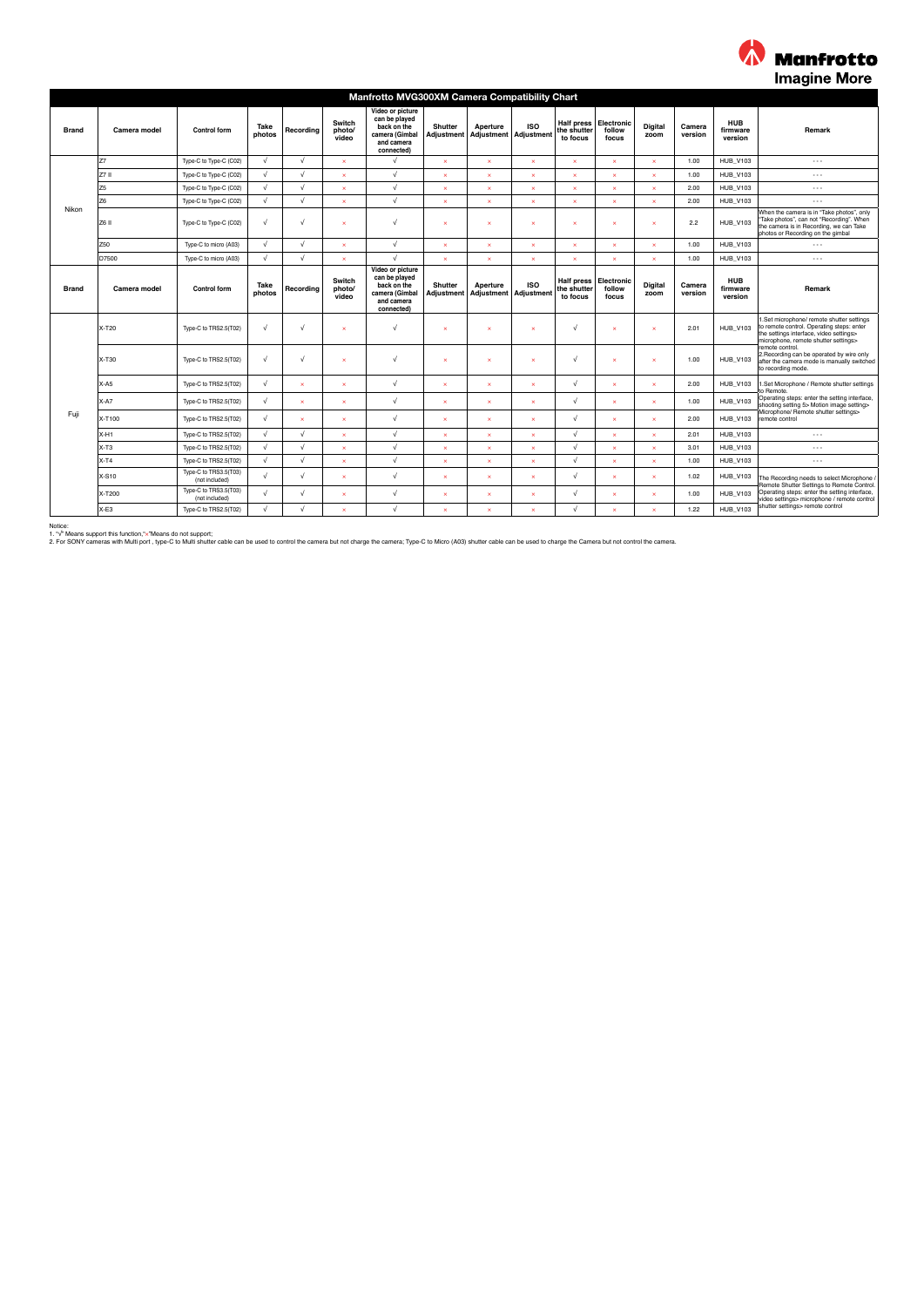

| Manfrotto MVG300XM Camera Compatibility Chart |                |                                         |                |              |                           |                                                                                                |                              |                                   |                         |                                              |                               |                       |                   |                                   |                                                                                                                                                                                                                                                                                                              |  |  |
|-----------------------------------------------|----------------|-----------------------------------------|----------------|--------------|---------------------------|------------------------------------------------------------------------------------------------|------------------------------|-----------------------------------|-------------------------|----------------------------------------------|-------------------------------|-----------------------|-------------------|-----------------------------------|--------------------------------------------------------------------------------------------------------------------------------------------------------------------------------------------------------------------------------------------------------------------------------------------------------------|--|--|
| <b>Brand</b>                                  | Camera model   | <b>Control form</b>                     | Take<br>photos | Recordina    | Switch<br>photo/<br>video | Video or picture<br>can be played<br>back on the<br>camera (Gimbal<br>and camera<br>connected) | <b>Shutter</b><br>Adjustment | Aperture<br>Adjustment Adjustment | <b>ISO</b>              | <b>Half press</b><br>the shutter<br>to focus | Electronic<br>follow<br>focus | Digital<br>zoom       | Camera<br>version | <b>HUB</b><br>firmware<br>version | Remark                                                                                                                                                                                                                                                                                                       |  |  |
|                                               | Z7             | Type-C to Type-C (C02)                  | $\sqrt{ }$     | $\sqrt{ }$   | ×                         | $\sqrt{ }$                                                                                     | $\infty$                     | $\mathbf{x}$                      | $\mathbf x$             | $\mathbf{x}$                                 | $\times$                      | $\mathbf{x}$          | 1.00              | <b>HUB V103</b>                   | $\cdots$                                                                                                                                                                                                                                                                                                     |  |  |
|                                               | Izz II         | Type-C to Type-C (C02)                  | $\sqrt{ }$     | $\sqrt{ }$   | v                         | $\sqrt{ }$                                                                                     | $\mathbf{x}$                 | ×                                 | ×                       | $\mathbf{x}$                                 | $\mathbf{x}$                  | $\mathbf{x}$          | 1.00              | <b>HUB_V103</b>                   | $\cdots$                                                                                                                                                                                                                                                                                                     |  |  |
|                                               | Z <sub>5</sub> | Type-C to Type-C (C02)                  | $\sqrt{ }$     | $\sqrt{ }$   | $\overline{\mathbf{x}}$   | $\sqrt{ }$                                                                                     | $\mathbf x$                  | $\boldsymbol{\mathsf{x}}$         | $\overline{\mathbf{x}}$ | $\mathbf{x}$                                 | $\times$                      | $\boldsymbol{\times}$ | 2.00              | <b>HUB V103</b>                   | $\cdots$                                                                                                                                                                                                                                                                                                     |  |  |
|                                               | Z <sub>6</sub> | Type-C to Type-C (C02)                  | $\sqrt{ }$     | $\sqrt{ }$   | $\overline{\mathbf{x}}$   | $\sqrt{ }$                                                                                     | $\mathbf x$                  | $\boldsymbol{\mathsf{x}}$         | $\mathbf x$             | $\mathbf{x}$                                 | $\pmb{\times}$                | $\boldsymbol{\times}$ | 2.00              | <b>HUB V103</b>                   | $\cdots$                                                                                                                                                                                                                                                                                                     |  |  |
| Nikon                                         | Z6 II          | Type-C to Type-C (C02)                  | $\sqrt{ }$     | $\sqrt{ }$   | $\overline{\mathbf{x}}$   | $\sqrt{ }$                                                                                     | $\boldsymbol{\times}$        | ×                                 | $\mathbf x$             | $\boldsymbol{\times}$                        | $\times$                      | $\mathbf{x}$          | 2.2               | <b>HUB V103</b>                   | When the camera is in "Take photos", only<br>"Take photos", can not "Recording". When<br>the camera is in Recording, we can Take<br>photos or Recording on the gimbal                                                                                                                                        |  |  |
|                                               | Z50            | Type-C to micro (A03)                   | $\sqrt{ }$     | $\sqrt{2}$   | ×                         | $\sqrt{ }$                                                                                     | $\infty$                     | $\mathbf{x}$                      | ×                       | $\mathbf{x}$                                 | $\pmb{\times}$                | $\mathbf{x}$          | 1.00              | <b>HUB V103</b>                   | $\cdots$                                                                                                                                                                                                                                                                                                     |  |  |
|                                               | D7500          | Type-C to micro (A03)                   | $\sqrt{ }$     | $\sqrt{ }$   | $\overline{\mathbf{x}}$   | $\sqrt{ }$                                                                                     | $\mathbf x$                  | $\boldsymbol{\mathsf{x}}$         | $\mathbf x$             | $\boldsymbol{\times}$                        | $\pmb{\times}$                | $\boldsymbol{\times}$ | 1.00              | <b>HUB V103</b>                   | $\cdots$                                                                                                                                                                                                                                                                                                     |  |  |
| <b>Brand</b>                                  | Camera model   | <b>Control form</b>                     | Take<br>photos | Recording    | Switch<br>photo/<br>video | Video or picture<br>can be played<br>back on the<br>camera (Gimbal<br>and camera<br>connected) | <b>Shutter</b><br>Adjustment | Aperture<br>Adjustment Adjustment | <b>ISO</b>              | <b>Half press</b><br>the shutter<br>to focus | Electronic<br>follow<br>focus | Digital<br>zoom       | Camera<br>version | <b>HUB</b><br>firmware<br>version | Remark                                                                                                                                                                                                                                                                                                       |  |  |
|                                               | X-T20          | Type-C to TRS2.5(T02)                   | $\sqrt{ }$     | √            | ×                         | √                                                                                              | $\mathbf x$                  | $\mathbf x$                       | $\mathbf x$             | $\sqrt{ }$                                   | $\pmb{\times}$                | $\mathbf{x}$          | 2.01              | <b>HUB_V103</b>                   | .Set microphone/ remote shutter settings<br>to remote control. Operating steps: enter<br>the settings interface, video settings><br>microphone, remote shutter settings><br>remote control.<br>2. Recording can be operated by wire only<br>after the camera mode is manually switched<br>to recording mode. |  |  |
|                                               | X-T30          | Type-C to TRS2.5(T02)                   | $\sqrt{ }$     | √            | $\boldsymbol{\times}$     | √                                                                                              | $\boldsymbol{\times}$        | ×                                 | $\mathbf x$             | $\sqrt{ }$                                   | $\pmb{\times}$                | $\mathbf{x}$          | 1.00              | <b>HUB_V103</b>                   |                                                                                                                                                                                                                                                                                                              |  |  |
|                                               | $X-A5$         | Type-C to TRS2.5(T02)                   | $\sqrt{ }$     | ×            | $\mathbf{x}$              | $\sqrt{ }$                                                                                     | $\mathbf{x}$                 | ×                                 | ×                       | $\sqrt{ }$                                   | $\mathbf{x}$                  | $\mathbf{x}$          | 2.00              | <b>HUB V103</b>                   | Set Microphone / Remote shutter settings<br>o Remote.                                                                                                                                                                                                                                                        |  |  |
|                                               | $X-A7$         | Type-C to TRS2.5(T02)                   | $\sqrt{ }$     | $\mathbf{x}$ | $\boldsymbol{\mathsf{x}}$ | $\sqrt{ }$                                                                                     | $\boldsymbol{\times}$        | ×                                 | $\mathbf x$             | $\sqrt{ }$                                   | $\mathbf x$                   | $\mathbf{x}$          | 1.00              | <b>HUB_V103</b>                   | Operating steps: enter the setting interface,<br>shooting setting 5> Motion image setting>                                                                                                                                                                                                                   |  |  |
| Fuji                                          | X-T100         | Type-C to TRS2.5(T02)                   | $\sqrt{ }$     | $\mathbf{x}$ | ×                         | $\sqrt{ }$                                                                                     | $\mathbf x$                  | $\mathbf x$                       | $\mathbf{x}$            | $\sqrt{ }$                                   | $\infty$                      | $\mathbf{x}$          | 2.00              | <b>HUB_V103</b>                   | Microphone/ Remote shutter settings><br>remote control                                                                                                                                                                                                                                                       |  |  |
|                                               | $X-H1$         | Type-C to TRS2.5(T02)                   | $\sqrt{ }$     | $\sqrt{ }$   | ×                         | $\sqrt{ }$                                                                                     | $\infty$                     | $\mathbf{x}$                      | $\mathbf{x}$            | $\sqrt{ }$                                   | $\mathbf{x}$                  | $\mathbf{x}$          | 2.01              | <b>HUB_V103</b>                   | $\cdots$                                                                                                                                                                                                                                                                                                     |  |  |
|                                               | $X-T3$         | Type-C to TRS2.5(T02)                   | $\sqrt{ }$     | $\sqrt{ }$   | $\overline{\mathbf{x}}$   | $\sqrt{ }$                                                                                     | $\boldsymbol{\times}$        | ×                                 | $\mathbf x$             | $\sqrt{ }$                                   | $\mathbf{x}$                  | $\boldsymbol{\times}$ | 3.01              | <b>HUB V103</b>                   | $\cdots$                                                                                                                                                                                                                                                                                                     |  |  |
|                                               | $X-T4$         | Type-C to TRS2.5(T02)                   | $\sqrt{ }$     | $\sqrt{ }$   | ×                         | $\sqrt{ }$                                                                                     | $\mathbf{x}$                 | ×                                 | $\mathbf{x}$            | $\sqrt{ }$                                   | $\mathbf{x}$                  | $\mathbf{x}$          | 1.00              | <b>HUB_V103</b>                   | $\cdots$                                                                                                                                                                                                                                                                                                     |  |  |
|                                               | X-S10          | Type-C to TRS3.5(T03)<br>(not included) | $\sqrt{ }$     | $\sqrt{ }$   | ×                         | $\sqrt{ }$                                                                                     | $\mathbf{x}$                 | ×                                 | $\mathbf{x}$            | $\sqrt{ }$                                   | $\infty$                      | $\mathbf{x}$          | 1.02              | <b>HUB_V103</b>                   | The Recording needs to select Microphone<br>Remote Shutter Settings to Remote Control                                                                                                                                                                                                                        |  |  |
|                                               | X-T200         | Type-C to TRS3.5(T03)<br>(not included) | $\sqrt{ }$     | $\sqrt{ }$   | ×                         | $\sqrt{ }$                                                                                     | $\infty$                     | $\mathbf{x}$                      | $\overline{\mathbf{x}}$ | $\sqrt{ }$                                   | $\mathbf{x}$                  | $\mathbf{x}$          | 1.00              | <b>HUB V103</b>                   | Operating steps: enter the setting interface,<br>video settings> microphone / remote control<br>shutter settings> remote control                                                                                                                                                                             |  |  |
|                                               | $X-E3$         | Type-C to TRS2.5(T02)                   | $\sqrt{ }$     | $\sqrt{ }$   | ×                         | $\sqrt{ }$                                                                                     | $\mathbf{x}$                 | ×                                 | ×                       | $\sqrt{ }$                                   | $\mathbf{x}$                  |                       | 1.22              | <b>HUB_V103</b>                   |                                                                                                                                                                                                                                                                                                              |  |  |

Notice:<br>1. "Y Means support this function,"∞"Means do not support;<br>2. For SONY cameras with Multi port , type-C to Multi shutter cable can be used to control the camera but not change the camera, Type-C to Micro (A03) shu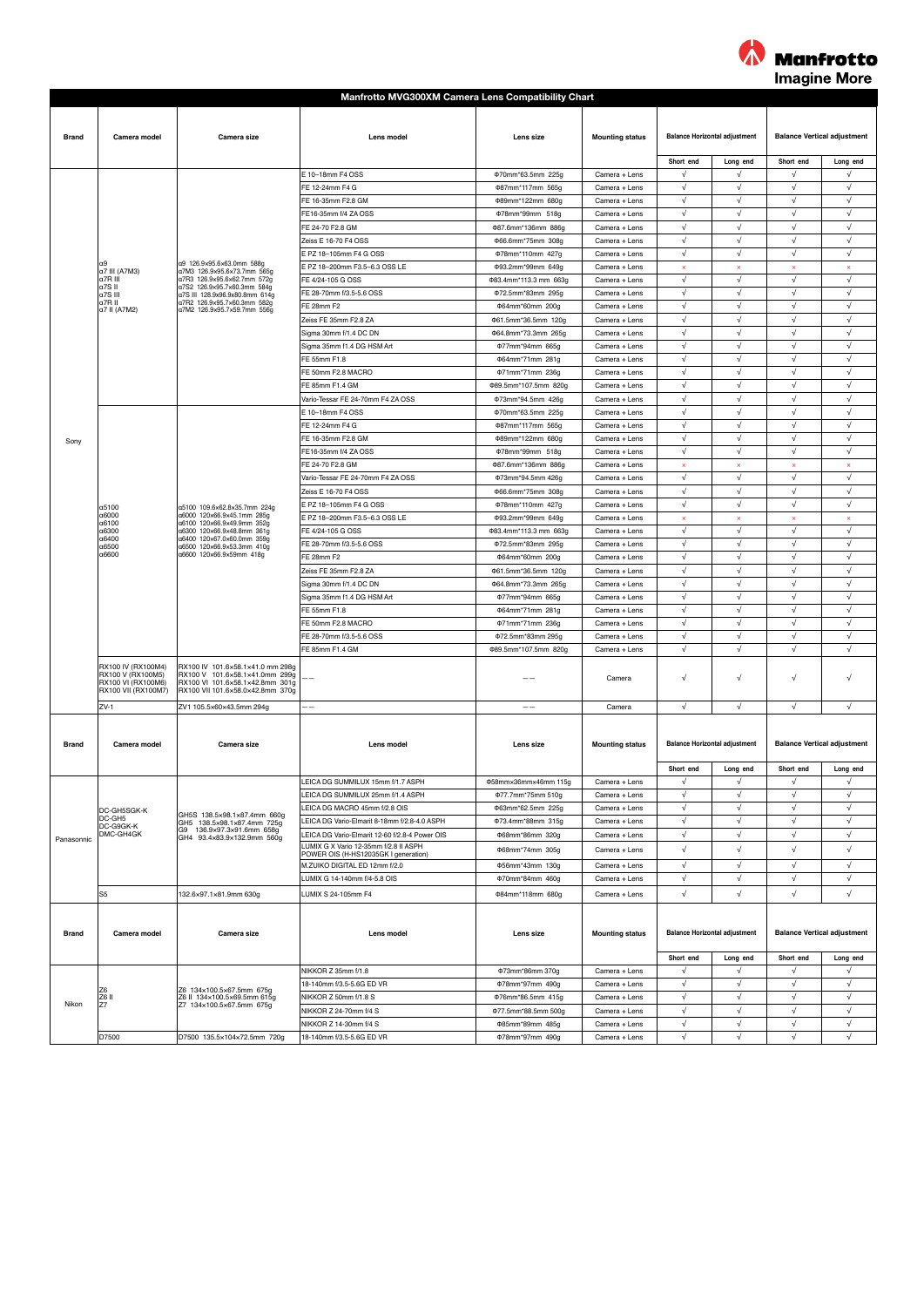

|              |                                           |                                                                                                                        | <b>Manfrotto MVG300XM Camera Lens Compatibility Chart</b>             |                                            |                                |                                      |                                      |                                     |                                         |  |
|--------------|-------------------------------------------|------------------------------------------------------------------------------------------------------------------------|-----------------------------------------------------------------------|--------------------------------------------|--------------------------------|--------------------------------------|--------------------------------------|-------------------------------------|-----------------------------------------|--|
|              |                                           |                                                                                                                        |                                                                       |                                            |                                |                                      |                                      |                                     |                                         |  |
|              |                                           |                                                                                                                        |                                                                       |                                            |                                |                                      |                                      |                                     |                                         |  |
| <b>Brand</b> | Camera model                              | Camera size                                                                                                            | Lens model                                                            | Lens size                                  | <b>Mounting status</b>         |                                      | <b>Balance Horizontal adjustment</b> | <b>Balance Vertical adjustment</b>  |                                         |  |
|              |                                           |                                                                                                                        |                                                                       |                                            |                                |                                      |                                      |                                     |                                         |  |
|              |                                           |                                                                                                                        |                                                                       |                                            |                                | Short end                            | Long end                             | Short end                           | Long end                                |  |
|              |                                           |                                                                                                                        | E 10-18mm F4 OSS                                                      | Φ70mm*63.5mm 225g                          | Camera + Lens                  | √                                    | $\sqrt{ }$                           | $\sqrt{ }$                          | $\sqrt{ }$                              |  |
|              |                                           |                                                                                                                        | FE 12-24mm F4 G                                                       | Φ87mm*117mm 565g                           | Camera + Lens                  | √                                    | $\sqrt{ }$                           | $\sqrt{ }$                          | $\sqrt{ }$                              |  |
|              |                                           |                                                                                                                        | FE 16-35mm F2.8 GM                                                    | Φ89mm*122mm 680g                           | Camera + Lens                  | $\sqrt{}$                            | $\sqrt{ }$                           | $\sqrt{ }$                          | $\sqrt{ }$                              |  |
|              |                                           |                                                                                                                        | FE16-35mm f/4 ZA OSS                                                  | Φ78mm*99mm 518g                            | Camera + Lens                  | √                                    | $\sqrt{ }$                           | $\sqrt{ }$                          | $\sqrt{ }$                              |  |
|              |                                           |                                                                                                                        | FE 24-70 F2.8 GM                                                      | Φ87.6mm*136mm 886g                         | Camera + Lens                  | √                                    | $\sqrt{ }$                           | $\sqrt{ }$                          | $\sqrt{ }$                              |  |
|              |                                           |                                                                                                                        | Zeiss E 16-70 F4 OSS                                                  | Φ66.6mm*75mm 308g                          | Camera + Lens                  | $\sqrt{ }$                           | $\sqrt{ }$                           | $\sqrt{ }$                          | $\sqrt{ }$                              |  |
|              | lα9                                       | a9 126.9×95.6×63.0mm 588a                                                                                              | E PZ 18-105mm F4 G OSS                                                | Φ78mm*110mm 427g                           | Camera + Lens                  | $\sqrt{ }$                           | $\sqrt{ }$                           | $\sqrt{ }$                          | $\sqrt{ }$                              |  |
|              | a7 III (A7M3)<br>a7R III                  | a7M3 126.9×95.6×73.7mm 565g<br>a7R3 126.9×95.6×62.7mm 572g                                                             | E PZ 18-200mm F3.5-6.3 OSS LE                                         | Φ93.2mm*99mm 649g                          | Camera + Lens                  | ×<br>$\sqrt{}$                       | $\boldsymbol{\times}$<br>$\sqrt{ }$  | $\boldsymbol{\times}$<br>$\sqrt{ }$ | $\boldsymbol{\mathsf{x}}$<br>$\sqrt{ }$ |  |
|              | a7SII                                     | a7S2 126.9×95.7×60.3mm 584g                                                                                            | FE 4/24-105 G OSS<br>FE 28-70mm f/3.5-5.6 OSS                         | 083.4mm*113.3 mm 663g<br>Φ72.5mm*83mm 295g | Camera + Lens                  | √                                    | $\sqrt{ }$                           | $\sqrt{ }$                          | $\sqrt{ }$                              |  |
|              | a7S III<br>a7R II                         | a7S III 128.9x96.9x80.8mm 614g<br>a7R2 126.9×95.7×60.3mm 582g                                                          | FE 28mm F2                                                            | Φ64mm*60mm 200g                            | Camera + Lens<br>Camera + Lens | $\sqrt{}$                            | $\sqrt{ }$                           | $\sqrt{ }$                          | $\sqrt{ }$                              |  |
|              | a7 II (A7M2)                              | a7M2 126.9×95.7×59.7mm 556g                                                                                            | Zeiss FE 35mm F2.8 ZA                                                 | 061.5mm*36.5mm 120g                        | Camera + Lens                  | $\sqrt{ }$                           | $\sqrt{ }$                           | $\sqrt{ }$                          | $\sqrt{ }$                              |  |
|              |                                           |                                                                                                                        | Sigma 30mm f/1.4 DC DN                                                | Φ64.8mm*73.3mm 265g                        | Camera + Lens                  | $\sqrt{ }$                           | $\sqrt{ }$                           | $\sqrt{ }$                          | $\sqrt{ }$                              |  |
|              |                                           |                                                                                                                        | Sigma 35mm f1.4 DG HSM Art                                            | Φ77mm*94mm 665g                            | Camera + Lens                  | √                                    | $\sqrt{}$                            | $\sqrt{ }$                          | $\sqrt{}$                               |  |
|              |                                           |                                                                                                                        | FE 55mm F1.8                                                          | Φ64mm*71mm 281g                            | Camera + Lens                  | $\sqrt{}$                            | $\sqrt{ }$                           | $\sqrt{ }$                          | $\sqrt{ }$                              |  |
|              |                                           |                                                                                                                        | FE 50mm F2.8 MACRO                                                    | Φ71mm*71mm 236g                            | Camera + Lens                  | √                                    | $\sqrt{ }$                           | $\sqrt{ }$                          | $\sqrt{}$                               |  |
|              |                                           |                                                                                                                        | FE 85mm F1.4 GM                                                       | Φ89.5mm*107.5mm 820g                       | Camera + Lens                  | $\sqrt{ }$                           | $\sqrt{}$                            | $\sqrt{ }$                          | $\sqrt{ }$                              |  |
|              |                                           |                                                                                                                        | Vario-Tessar FE 24-70mm F4 ZA OSS                                     | Φ73mm*94.5mm 426g                          | Camera + Lens                  | $\sqrt{}$                            | $\sqrt{ }$                           | $\sqrt{ }$                          | $\sqrt{ }$                              |  |
|              |                                           |                                                                                                                        | E 10-18mm F4 OSS                                                      | Φ70mm*63.5mm 225g                          | Camera + Lens                  | $\sqrt{ }$                           | $\sqrt{ }$                           | $\sqrt{ }$                          | $\sqrt{ }$                              |  |
|              |                                           |                                                                                                                        | FE 12-24mm F4 G                                                       | Φ87mm*117mm 565g                           | Camera + Lens                  | √                                    | $\sqrt{}$                            | $\sqrt{}$                           | $\sqrt{}$                               |  |
|              |                                           |                                                                                                                        | FE 16-35mm F2.8 GM                                                    | Φ89mm*122mm 680g                           | Camera + Lens                  | $\sqrt{ }$                           | $\sqrt{ }$                           | $\sqrt{ }$                          | $\sqrt{ }$                              |  |
| Sony         |                                           |                                                                                                                        | FE16-35mm f/4 ZA OSS                                                  | Φ78mm*99mm 518g                            | Camera + Lens                  | √                                    | $\sqrt{ }$                           | $\sqrt{ }$                          | $\sqrt{ }$                              |  |
|              |                                           | a5100 109.6x62.8x35.7mm 224g<br>a6000 120x66.9x45.1mm 285g<br>a6100 120×66.9×49.9mm 352g<br>a6300 120×66.9×48.8mm 361g | FE 24-70 F2.8 GM                                                      | Φ87.6mm*136mm 886g                         | Camera + Lens                  | ×                                    | ×                                    |                                     |                                         |  |
|              |                                           |                                                                                                                        | Vario-Tessar FE 24-70mm F4 ZA OSS                                     | Φ73mm*94.5mm 426g                          | Camera + Lens                  | $\sqrt{ }$                           | $\sqrt{ }$                           | $\sqrt{ }$                          | $\sqrt{ }$                              |  |
|              |                                           |                                                                                                                        | Zeiss E 16-70 F4 OSS                                                  | Φ66.6mm*75mm 308g                          | Camera + Lens                  | $\sqrt{ }$                           | $\sqrt{ }$                           | $\sqrt{ }$                          | $\sqrt{ }$                              |  |
|              | a5100                                     |                                                                                                                        | E PZ 18-105mm F4 G OSS                                                | Φ78mm*110mm 427g                           | Camera + Lens                  | √                                    | $\sqrt{}$                            | $\sqrt{ }$                          | $\sqrt{}$                               |  |
|              | a6000                                     |                                                                                                                        | E PZ 18-200mm F3.5-6.3 OSS LE                                         | Φ93.2mm*99mm 649g                          | Camera + Lens                  | ×                                    | $\boldsymbol{\times}$                | $\boldsymbol{\mathsf{x}}$           | $\boldsymbol{\mathsf{x}}$               |  |
|              | a6100<br>a6300                            |                                                                                                                        | FE 4/24-105 G OSS                                                     | Φ83.4mm*113.3 mm 663g                      | Camera + Lens                  | √                                    | $\sqrt{ }$                           | $\sqrt{ }$                          | $\sqrt{ }$                              |  |
|              | α6400<br>a6500                            | a6400 120x67.0x60.0mm 359g<br>a6500 120x66.9x53.3mm 410g                                                               | FE 28-70mm f/3.5-5.6 OSS                                              | 072.5mm*83mm 295g                          | Camera + Lens                  | $\sqrt{}$                            | $\sqrt{ }$                           | √                                   | $\sqrt{ }$                              |  |
|              | a6600                                     | a6600 120×66.9×59mm 418g                                                                                               | FE 28mm F2                                                            | Φ64mm*60mm 200g                            | Camera + Lens                  | $\sqrt{ }$                           | $\sqrt{ }$                           | $\sqrt{ }$                          | $\sqrt{ }$                              |  |
|              |                                           |                                                                                                                        | Zeiss FE 35mm F2.8 ZA                                                 | Φ61.5mm*36.5mm 120g                        | Camera + Lens                  | $\sqrt{}$                            | $\sqrt{ }$                           | $\sqrt{ }$                          | $\sqrt{ }$                              |  |
|              |                                           |                                                                                                                        | Sigma 30mm f/1.4 DC DN                                                | Φ64.8mm*73.3mm 265g                        | Camera + Lens                  | √                                    | $\sqrt{}$                            | $\sqrt{ }$                          | √                                       |  |
|              |                                           |                                                                                                                        | Sigma 35mm f1.4 DG HSM Art                                            | Φ77mm*94mm 665g                            | Camera + Lens                  | $\sqrt{ }$                           | $\sqrt{ }$                           | $\sqrt{ }$                          | $\sqrt{ }$                              |  |
|              |                                           |                                                                                                                        | FE 55mm F1.8                                                          | Φ64mm*71mm 281g                            | Camera + Lens                  | √                                    | $\sqrt{ }$                           | $\sqrt{ }$                          | $\sqrt{ }$                              |  |
|              |                                           |                                                                                                                        | FE 50mm F2.8 MACRO                                                    | Φ71mm*71mm 236g                            | Camera + Lens                  | $\sqrt{}$                            | $\sqrt{}$                            | $\sqrt{}$                           | $\sqrt{ }$                              |  |
|              |                                           |                                                                                                                        | FE 28-70mm f/3.5-5.6 OSS                                              | Φ72.5mm*83mm 295g                          | Camera + Lens                  | $\sqrt{}$                            | $\sqrt{ }$                           | $\sqrt{ }$                          | $\sqrt{ }$                              |  |
|              |                                           |                                                                                                                        | FE 85mm F1.4 GM                                                       | Φ89.5mm*107.5mm 820g                       | Camera + Lens                  | √                                    | $\sqrt{ }$                           | $\sqrt{ }$                          | $\sqrt{}$                               |  |
|              | RX100 IV (RX100M4)<br>RX100 V (RX100M5)   | RX100 IV 101.6x58.1x41.0 mm 298g<br>RX100 V 101.6x58.1x41.0mm 299g                                                     |                                                                       |                                            |                                |                                      | $\sqrt{}$                            | $\sqrt{ }$                          | $\sqrt{ }$                              |  |
|              | RX100 VI (RX100M6)<br>RX100 VII (RX100M7) | RX100 VI 101.6x58.1x42.8mm 301g<br>RX100 VII 101.6x58.0x42.8mm 370g                                                    |                                                                       |                                            | Camera                         | √                                    |                                      |                                     |                                         |  |
|              | $ZV-1$                                    | ZV1 105.5x60x43.5mm 294g                                                                                               |                                                                       |                                            | Camera                         | √                                    | $\sqrt{}$                            | $\sqrt{ }$                          | $\sqrt{ }$                              |  |
|              |                                           |                                                                                                                        |                                                                       |                                            |                                |                                      |                                      |                                     |                                         |  |
| <b>Brand</b> | Camera model                              | Camera size                                                                                                            | Lens mode                                                             | Lens size                                  | <b>Mounting status</b>         | <b>Balance Horizontal adjustment</b> |                                      | <b>Balance Vertical adjustment</b>  |                                         |  |
|              |                                           |                                                                                                                        |                                                                       |                                            |                                |                                      |                                      |                                     |                                         |  |
|              |                                           |                                                                                                                        |                                                                       |                                            |                                | Short end                            | Long end                             | Short end                           | Long end                                |  |
|              |                                           |                                                                                                                        | LEICA DG SUMMILUX 15mm f/1.7 ASPH                                     | Φ58mm×36mm×46mm 115g                       | Camera + Lens                  | $\sqrt{}$                            | √                                    | $\sqrt{ }$                          | $\sqrt{ }$                              |  |
|              |                                           |                                                                                                                        | LEICA DG SUMMILUX 25mm f/1.4 ASPH                                     | Φ77.7mm*75mm 510g                          | Camera + Lens                  | $\sqrt{ }$                           | $\sqrt{ }$                           | $\sqrt{ }$                          | $\sqrt{ }$                              |  |
|              | DC-GH5SGK-K                               |                                                                                                                        | LEICA DG MACRO 45mm f/2.8 OIS                                         | Φ63mm*62.5mm 225g                          | Camera + Lens                  | $\sqrt{ }$                           | $\sqrt{ }$                           | $\sqrt{ }$                          | $\sqrt{ }$                              |  |
|              | DC-GH5<br>DC-G9GK-K                       | GH5S 138.5×98.1×87.4mm 660g<br>GH5 138.5×98.1×87.4mm 725g                                                              | LEICA DG Vario-Elmarit 8-18mm f/2.8-4.0 ASPH                          | 073.4mm*88mm 315g                          | Camera + Lens                  | $\sqrt{}$                            | $\sqrt{}$                            | $\sqrt{ }$                          | $\sqrt{}$                               |  |
| Panasonnic   | DMC-GH4GK                                 | G9 136.9×97.3×91.6mm 658g<br>GH4 93.4x83.9x132.9mm 560g                                                                | LEICA DG Vario-Elmarit 12-60 f/2.8-4 Power OIS                        | Φ68mm*86mm 320g                            | Camera + Lens                  | $\sqrt{}$                            | $\sqrt{ }$                           | $\sqrt{ }$                          | $\sqrt{ }$                              |  |
|              |                                           |                                                                                                                        | LUMIX G X Vario 12-35mm f/2.8 II ASPH                                 | Φ68mm*74mm 305g                            | Camera + Lens                  | √                                    | $\sqrt{ }$                           | $\sqrt{ }$                          | $\sqrt{}$                               |  |
|              |                                           |                                                                                                                        | POWER OIS (H-HS12035GK I generation)<br>M.ZUIKO DIGITAL ED 12mm f/2.0 | ¢56mm*43mm 130g                            | Camera + Lens                  | $\sqrt{}$                            | $\sqrt{}$                            | $\sqrt{ }$                          | $\sqrt{ }$                              |  |
|              |                                           |                                                                                                                        | LUMIX G 14-140mm f/4-5.8 OIS                                          | Φ70mm*84mm 460g                            | Camera + Lens                  | √                                    | $\sqrt{ }$                           | $\sqrt{ }$                          | $\sqrt{ }$                              |  |
|              | S <sub>5</sub>                            |                                                                                                                        | LUMIX S 24-105mm F4                                                   | Φ84mm*118mm 680g                           | Camera + Lens                  | √                                    | $\sqrt{}$                            | $\sqrt{ }$                          | $\sqrt{ }$                              |  |
|              |                                           | 132.6×97.1×81.9mm 630g                                                                                                 |                                                                       |                                            |                                |                                      |                                      |                                     |                                         |  |
|              |                                           |                                                                                                                        |                                                                       |                                            |                                |                                      |                                      |                                     |                                         |  |
| <b>Brand</b> | Camera model                              | Camera size                                                                                                            | Lens model                                                            | Lens size                                  | <b>Mounting status</b>         |                                      |                                      |                                     | <b>Balance Vertical adjustment</b>      |  |
|              |                                           |                                                                                                                        |                                                                       |                                            |                                | <b>Balance Horizontal adjustment</b> |                                      |                                     |                                         |  |
|              |                                           |                                                                                                                        |                                                                       |                                            |                                | Short end                            | Long end                             | Short end                           | Long end                                |  |
|              |                                           |                                                                                                                        | NIKKOR Z 35mm f/1.8                                                   | Φ73mm*86mm 370g                            | Camera + Lens                  | $\sqrt{ }$                           | $\sqrt{ }$                           | $\sqrt{ }$                          | $\sqrt{ }$                              |  |
|              | Z6                                        |                                                                                                                        | 18-140mm f/3.5-5.6G ED VR                                             | Φ78mm*97mm 490g                            | Camera + Lens                  | √                                    | $\sqrt{}$                            | $\sqrt{}$                           | $\sqrt{}$                               |  |
|              | Z6 II                                     | Z6 134x100.5x67.5mm 675g<br>Z6 II 134×100.5×69.5mm 615g                                                                | NIKKOR Z 50mm f/1.8 S                                                 | Φ76mm*86.5mm 415g                          | Camera + Lens                  | $\sqrt{}$                            | $\sqrt{ }$                           | $\sqrt{ }$                          | $\sqrt{ }$                              |  |
| Nikon        | Z7                                        | Z7 134×100.5×67.5mm 675g                                                                                               | NIKKOR Z 24-70mm f/4 S                                                | Φ77.5mm*88.5mm 500g                        | Camera + Lens                  | √                                    | $\sqrt{}$                            | $\sqrt{ }$                          | $\sqrt{ }$                              |  |
|              |                                           |                                                                                                                        | NIKKOR Z 14-30mm f/4 S                                                | Φ85mm*89mm 485g                            | Camera + Lens                  | $\sqrt{}$                            | $\sqrt{}$                            | $\sqrt{ }$                          | $\sqrt{ }$                              |  |
|              | D7500                                     | D7500 135.5×104×72.5mm 720g                                                                                            | 18-140mm f/3.5-5.6G ED VR                                             | Φ78mm*97mm 490g                            | Camera + Lens                  | √                                    | $\sqrt{ }$                           | $\sqrt{ }$                          | $\sqrt{ }$                              |  |